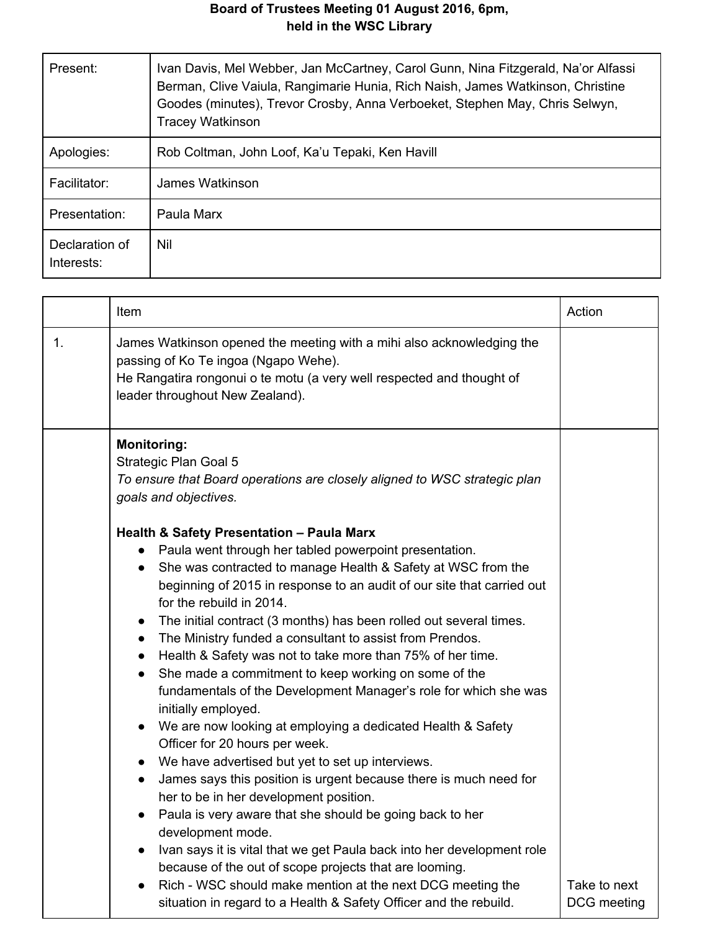## **Board of Trustees Meeting 01 August 2016, 6pm, held in the WSC Library**

| Present:                     | Ivan Davis, Mel Webber, Jan McCartney, Carol Gunn, Nina Fitzgerald, Na'or Alfassi<br>Berman, Clive Vaiula, Rangimarie Hunia, Rich Naish, James Watkinson, Christine<br>Goodes (minutes), Trevor Crosby, Anna Verboeket, Stephen May, Chris Selwyn,<br><b>Tracey Watkinson</b> |
|------------------------------|-------------------------------------------------------------------------------------------------------------------------------------------------------------------------------------------------------------------------------------------------------------------------------|
| Apologies:                   | Rob Coltman, John Loof, Ka'u Tepaki, Ken Havill                                                                                                                                                                                                                               |
| Facilitator:                 | James Watkinson                                                                                                                                                                                                                                                               |
| Presentation:                | Paula Marx                                                                                                                                                                                                                                                                    |
| Declaration of<br>Interests: | Nil                                                                                                                                                                                                                                                                           |

|    | Item                                                                                                                                                                                                                                                                                                                                                                                                                                                                                                                                                                                                                                                                                                                                                                                                                                                                                                                                                                                                                                                                                                                                                                                                                                                                                                                                 | Action                      |
|----|--------------------------------------------------------------------------------------------------------------------------------------------------------------------------------------------------------------------------------------------------------------------------------------------------------------------------------------------------------------------------------------------------------------------------------------------------------------------------------------------------------------------------------------------------------------------------------------------------------------------------------------------------------------------------------------------------------------------------------------------------------------------------------------------------------------------------------------------------------------------------------------------------------------------------------------------------------------------------------------------------------------------------------------------------------------------------------------------------------------------------------------------------------------------------------------------------------------------------------------------------------------------------------------------------------------------------------------|-----------------------------|
| 1. | James Watkinson opened the meeting with a mihi also acknowledging the<br>passing of Ko Te ingoa (Ngapo Wehe).<br>He Rangatira rongonui o te motu (a very well respected and thought of<br>leader throughout New Zealand).                                                                                                                                                                                                                                                                                                                                                                                                                                                                                                                                                                                                                                                                                                                                                                                                                                                                                                                                                                                                                                                                                                            |                             |
|    | <b>Monitoring:</b><br>Strategic Plan Goal 5<br>To ensure that Board operations are closely aligned to WSC strategic plan<br>goals and objectives.                                                                                                                                                                                                                                                                                                                                                                                                                                                                                                                                                                                                                                                                                                                                                                                                                                                                                                                                                                                                                                                                                                                                                                                    |                             |
|    | <b>Health &amp; Safety Presentation - Paula Marx</b><br>Paula went through her tabled powerpoint presentation.<br>She was contracted to manage Health & Safety at WSC from the<br>beginning of 2015 in response to an audit of our site that carried out<br>for the rebuild in 2014.<br>The initial contract (3 months) has been rolled out several times.<br>$\bullet$<br>The Ministry funded a consultant to assist from Prendos.<br>$\bullet$<br>Health & Safety was not to take more than 75% of her time.<br>$\bullet$<br>She made a commitment to keep working on some of the<br>$\bullet$<br>fundamentals of the Development Manager's role for which she was<br>initially employed.<br>We are now looking at employing a dedicated Health & Safety<br>Officer for 20 hours per week.<br>We have advertised but yet to set up interviews.<br>James says this position is urgent because there is much need for<br>$\bullet$<br>her to be in her development position.<br>Paula is very aware that she should be going back to her<br>development mode.<br>Ivan says it is vital that we get Paula back into her development role<br>because of the out of scope projects that are looming.<br>Rich - WSC should make mention at the next DCG meeting the<br>situation in regard to a Health & Safety Officer and the rebuild. | Take to next<br>DCG meeting |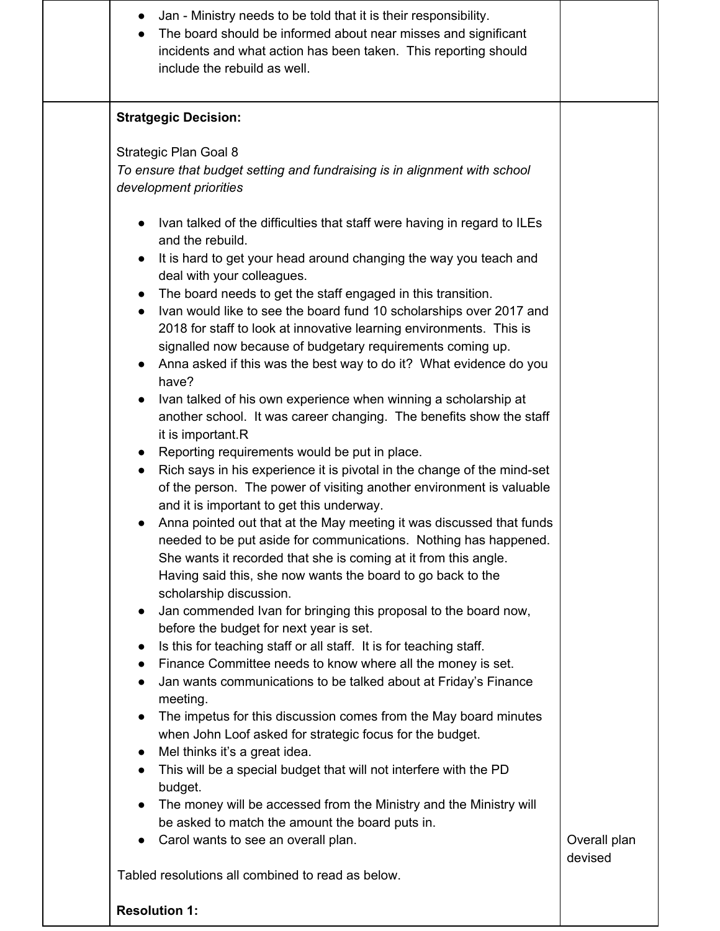| Jan - Ministry needs to be told that it is their responsibility.<br>$\bullet$<br>The board should be informed about near misses and significant<br>incidents and what action has been taken. This reporting should<br>include the rebuild as well. |              |
|----------------------------------------------------------------------------------------------------------------------------------------------------------------------------------------------------------------------------------------------------|--------------|
| <b>Stratgegic Decision:</b>                                                                                                                                                                                                                        |              |
| Strategic Plan Goal 8                                                                                                                                                                                                                              |              |
| To ensure that budget setting and fundraising is in alignment with school<br>development priorities                                                                                                                                                |              |
| Ivan talked of the difficulties that staff were having in regard to ILEs<br>and the rebuild.                                                                                                                                                       |              |
| It is hard to get your head around changing the way you teach and<br>deal with your colleagues.                                                                                                                                                    |              |
| The board needs to get the staff engaged in this transition.                                                                                                                                                                                       |              |
| Ivan would like to see the board fund 10 scholarships over 2017 and<br>$\bullet$                                                                                                                                                                   |              |
| 2018 for staff to look at innovative learning environments. This is                                                                                                                                                                                |              |
| signalled now because of budgetary requirements coming up.                                                                                                                                                                                         |              |
| Anna asked if this was the best way to do it? What evidence do you<br>have?                                                                                                                                                                        |              |
| Ivan talked of his own experience when winning a scholarship at                                                                                                                                                                                    |              |
| another school. It was career changing. The benefits show the staff<br>it is important.R                                                                                                                                                           |              |
| Reporting requirements would be put in place.<br>$\bullet$                                                                                                                                                                                         |              |
| Rich says in his experience it is pivotal in the change of the mind-set<br>$\bullet$<br>of the person. The power of visiting another environment is valuable<br>and it is important to get this underway.                                          |              |
| Anna pointed out that at the May meeting it was discussed that funds<br>$\bullet$                                                                                                                                                                  |              |
| needed to be put aside for communications. Nothing has happened.                                                                                                                                                                                   |              |
| She wants it recorded that she is coming at it from this angle.                                                                                                                                                                                    |              |
| Having said this, she now wants the board to go back to the                                                                                                                                                                                        |              |
| scholarship discussion.<br>Jan commended Ivan for bringing this proposal to the board now,<br>$\bullet$                                                                                                                                            |              |
| before the budget for next year is set.                                                                                                                                                                                                            |              |
| Is this for teaching staff or all staff. It is for teaching staff.<br>$\bullet$                                                                                                                                                                    |              |
| Finance Committee needs to know where all the money is set.<br>$\bullet$                                                                                                                                                                           |              |
| Jan wants communications to be talked about at Friday's Finance<br>meeting.                                                                                                                                                                        |              |
| The impetus for this discussion comes from the May board minutes<br>$\bullet$                                                                                                                                                                      |              |
| when John Loof asked for strategic focus for the budget.                                                                                                                                                                                           |              |
| Mel thinks it's a great idea.<br>$\bullet$<br>This will be a special budget that will not interfere with the PD<br>$\bullet$                                                                                                                       |              |
| budget.                                                                                                                                                                                                                                            |              |
| The money will be accessed from the Ministry and the Ministry will<br>$\bullet$                                                                                                                                                                    |              |
| be asked to match the amount the board puts in.                                                                                                                                                                                                    |              |
| Carol wants to see an overall plan.<br>$\bullet$                                                                                                                                                                                                   | Overall plan |
|                                                                                                                                                                                                                                                    | devised      |
| Tabled resolutions all combined to read as below.                                                                                                                                                                                                  |              |
| <b>Resolution 1:</b>                                                                                                                                                                                                                               |              |
|                                                                                                                                                                                                                                                    |              |

 $\mathbf{I}$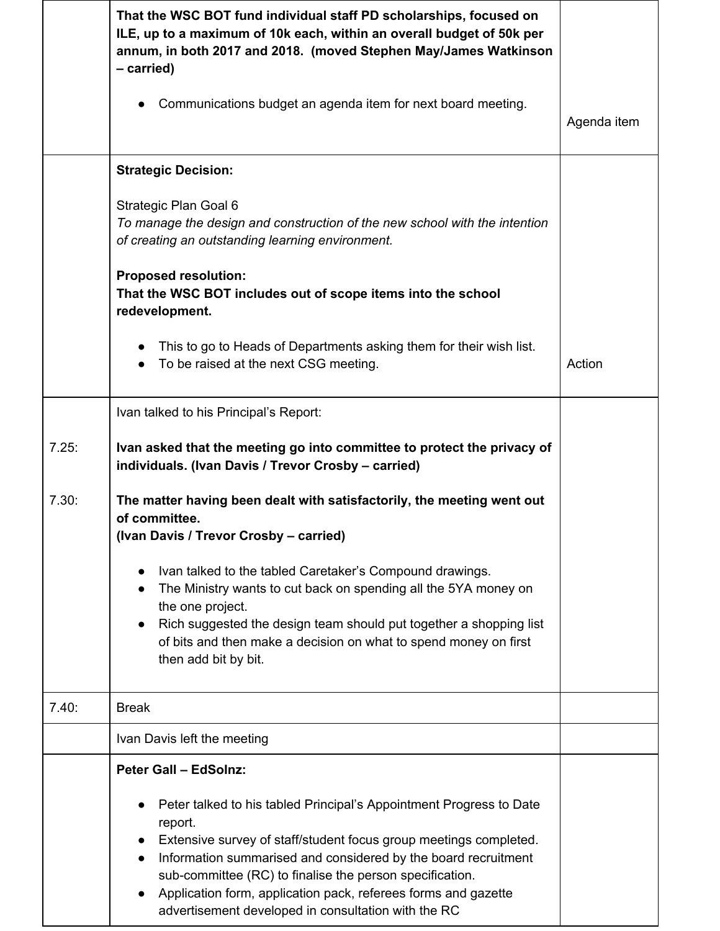|       | That the WSC BOT fund individual staff PD scholarships, focused on<br>ILE, up to a maximum of 10k each, within an overall budget of 50k per<br>annum, in both 2017 and 2018. (moved Stephen May/James Watkinson<br>- carried)                                                                                                                                                                              |             |
|-------|------------------------------------------------------------------------------------------------------------------------------------------------------------------------------------------------------------------------------------------------------------------------------------------------------------------------------------------------------------------------------------------------------------|-------------|
|       | Communications budget an agenda item for next board meeting.                                                                                                                                                                                                                                                                                                                                               | Agenda item |
|       | <b>Strategic Decision:</b>                                                                                                                                                                                                                                                                                                                                                                                 |             |
|       | Strategic Plan Goal 6<br>To manage the design and construction of the new school with the intention<br>of creating an outstanding learning environment.                                                                                                                                                                                                                                                    |             |
|       | <b>Proposed resolution:</b><br>That the WSC BOT includes out of scope items into the school<br>redevelopment.                                                                                                                                                                                                                                                                                              |             |
|       | This to go to Heads of Departments asking them for their wish list.<br>To be raised at the next CSG meeting.                                                                                                                                                                                                                                                                                               | Action      |
|       | Ivan talked to his Principal's Report:                                                                                                                                                                                                                                                                                                                                                                     |             |
| 7.25: | Ivan asked that the meeting go into committee to protect the privacy of<br>individuals. (Ivan Davis / Trevor Crosby - carried)                                                                                                                                                                                                                                                                             |             |
| 7.30: | The matter having been dealt with satisfactorily, the meeting went out<br>of committee.<br>(Ivan Davis / Trevor Crosby - carried)                                                                                                                                                                                                                                                                          |             |
|       | Ivan talked to the tabled Caretaker's Compound drawings.<br>The Ministry wants to cut back on spending all the 5YA money on<br>the one project.<br>Rich suggested the design team should put together a shopping list<br>of bits and then make a decision on what to spend money on first<br>then add bit by bit.                                                                                          |             |
| 7.40: | <b>Break</b>                                                                                                                                                                                                                                                                                                                                                                                               |             |
|       | Ivan Davis left the meeting                                                                                                                                                                                                                                                                                                                                                                                |             |
|       | <b>Peter Gall - EdSolnz:</b>                                                                                                                                                                                                                                                                                                                                                                               |             |
|       | Peter talked to his tabled Principal's Appointment Progress to Date<br>report.<br>Extensive survey of staff/student focus group meetings completed.<br>Information summarised and considered by the board recruitment<br>sub-committee (RC) to finalise the person specification.<br>Application form, application pack, referees forms and gazette<br>advertisement developed in consultation with the RC |             |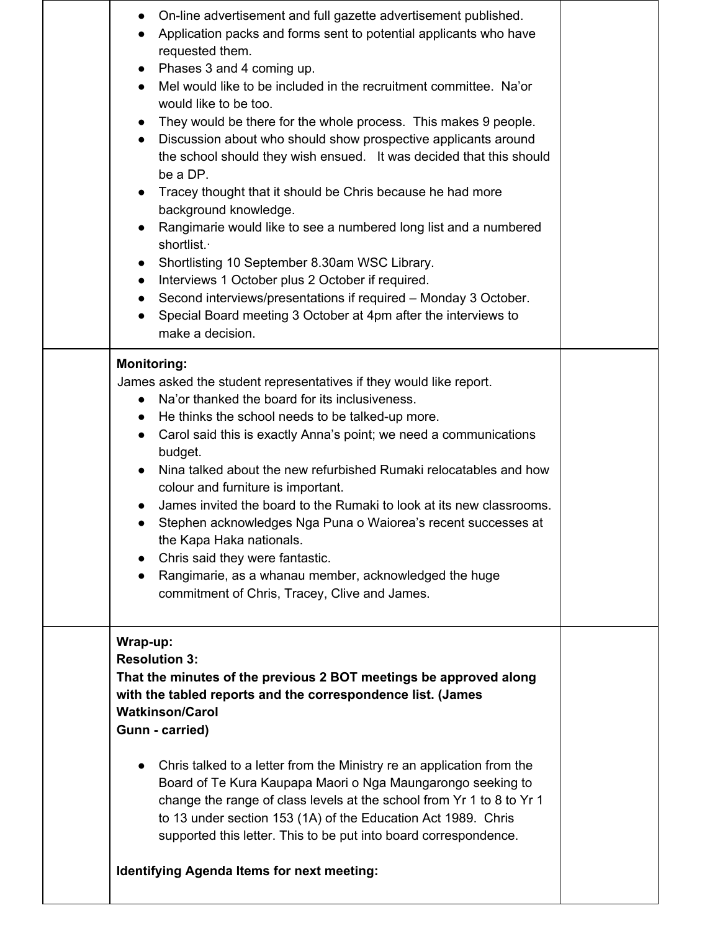| On-line advertisement and full gazette advertisement published.<br>Application packs and forms sent to potential applicants who have<br>requested them.<br>Phases 3 and 4 coming up.<br>Mel would like to be included in the recruitment committee. Na'or<br>would like to be too.<br>They would be there for the whole process. This makes 9 people.<br>Discussion about who should show prospective applicants around<br>the school should they wish ensued. It was decided that this should<br>be a DP.<br>Tracey thought that it should be Chris because he had more<br>background knowledge.<br>Rangimarie would like to see a numbered long list and a numbered<br>shortlist.<br>Shortlisting 10 September 8.30am WSC Library.<br>Interviews 1 October plus 2 October if required.<br>$\bullet$<br>Second interviews/presentations if required - Monday 3 October.<br>Special Board meeting 3 October at 4pm after the interviews to<br>make a decision. |  |
|----------------------------------------------------------------------------------------------------------------------------------------------------------------------------------------------------------------------------------------------------------------------------------------------------------------------------------------------------------------------------------------------------------------------------------------------------------------------------------------------------------------------------------------------------------------------------------------------------------------------------------------------------------------------------------------------------------------------------------------------------------------------------------------------------------------------------------------------------------------------------------------------------------------------------------------------------------------|--|
| <b>Monitoring:</b><br>James asked the student representatives if they would like report.<br>Na'or thanked the board for its inclusiveness.<br>$\bullet$<br>He thinks the school needs to be talked-up more.<br>$\bullet$<br>Carol said this is exactly Anna's point; we need a communications<br>$\bullet$<br>budget.<br>Nina talked about the new refurbished Rumaki relocatables and how<br>$\bullet$<br>colour and furniture is important.<br>James invited the board to the Rumaki to look at its new classrooms.<br>Stephen acknowledges Nga Puna o Waiorea's recent successes at<br>$\bullet$<br>the Kapa Haka nationals.<br>Chris said they were fantastic.<br>Rangimarie, as a whanau member, acknowledged the huge<br>$\bullet$<br>commitment of Chris, Tracey, Clive and James.                                                                                                                                                                      |  |
| Wrap-up:<br><b>Resolution 3:</b><br>That the minutes of the previous 2 BOT meetings be approved along<br>with the tabled reports and the correspondence list. (James<br><b>Watkinson/Carol</b><br>Gunn - carried)<br>Chris talked to a letter from the Ministry re an application from the<br>Board of Te Kura Kaupapa Maori o Nga Maungarongo seeking to<br>change the range of class levels at the school from Yr 1 to 8 to Yr 1<br>to 13 under section 153 (1A) of the Education Act 1989. Chris<br>supported this letter. This to be put into board correspondence.<br><b>Identifying Agenda Items for next meeting:</b>                                                                                                                                                                                                                                                                                                                                   |  |